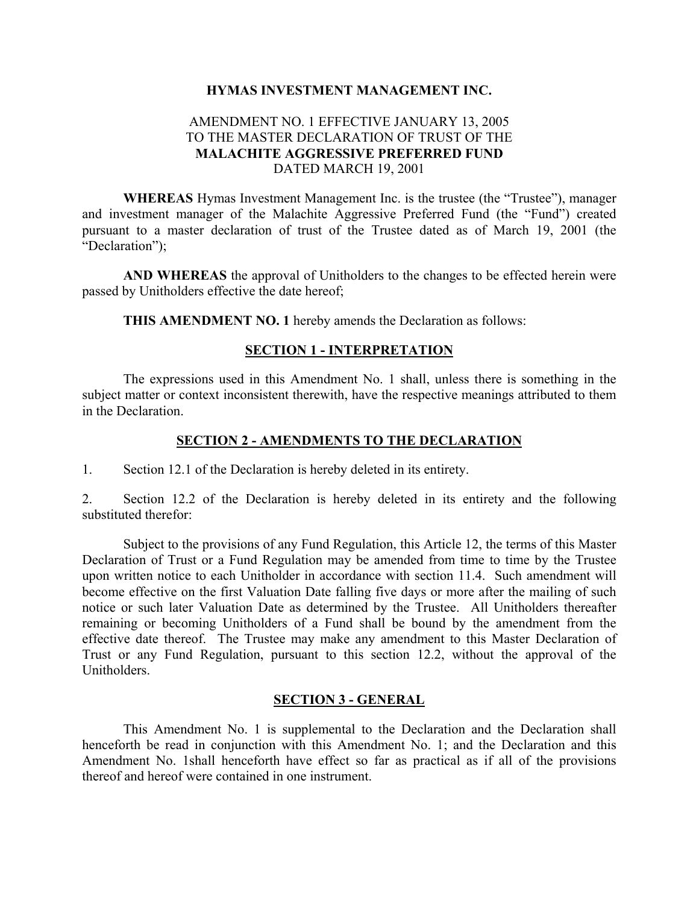#### **HYMAS INVESTMENT MANAGEMENT INC.**

## AMENDMENT NO. 1 EFFECTIVE JANUARY 13, 2005 TO THE MASTER DECLARATION OF TRUST OF THE **MALACHITE AGGRESSIVE PREFERRED FUND** DATED MARCH 19, 2001

**WHEREAS** Hymas Investment Management Inc. is the trustee (the "Trustee"), manager and investment manager of the Malachite Aggressive Preferred Fund (the "Fund") created pursuant to a master declaration of trust of the Trustee dated as of March 19, 2001 (the "Declaration");

**AND WHEREAS** the approval of Unitholders to the changes to be effected herein were passed by Unitholders effective the date hereof;

**THIS AMENDMENT NO. 1** hereby amends the Declaration as follows:

### **SECTION 1 - INTERPRETATION**

The expressions used in this Amendment No. 1 shall, unless there is something in the subject matter or context inconsistent therewith, have the respective meanings attributed to them in the Declaration.

### **SECTION 2 - AMENDMENTS TO THE DECLARATION**

1. Section 12.1 of the Declaration is hereby deleted in its entirety.

2. Section 12.2 of the Declaration is hereby deleted in its entirety and the following substituted therefor:

Subject to the provisions of any Fund Regulation, this Article 12, the terms of this Master Declaration of Trust or a Fund Regulation may be amended from time to time by the Trustee upon written notice to each Unitholder in accordance with section 11.4. Such amendment will become effective on the first Valuation Date falling five days or more after the mailing of such notice or such later Valuation Date as determined by the Trustee. All Unitholders thereafter remaining or becoming Unitholders of a Fund shall be bound by the amendment from the effective date thereof. The Trustee may make any amendment to this Master Declaration of Trust or any Fund Regulation, pursuant to this section 12.2, without the approval of the **Unitholders** 

### **SECTION 3 - GENERAL**

This Amendment No. 1 is supplemental to the Declaration and the Declaration shall henceforth be read in conjunction with this Amendment No. 1; and the Declaration and this Amendment No. 1shall henceforth have effect so far as practical as if all of the provisions thereof and hereof were contained in one instrument.